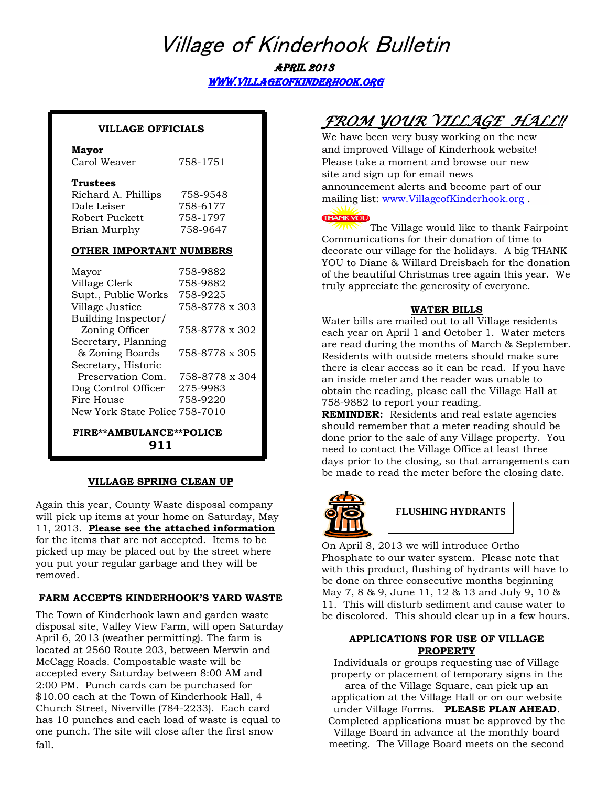# Village of Kinderhook Bulletin April 2013

[www.villageofkinderhook.org](http://www.villageofkinderhook.org/) 

#### **VILLAGE OFFICIALS**

#### **Mayor**

| Carol Weaver | 758-1751 |
|--------------|----------|
|              |          |

#### **Trustees**

| Richard A. Phillips | 758-9548 |
|---------------------|----------|
| Dale Leiser         | 758-6177 |
| Robert Puckett      | 758-1797 |
| Brian Murphy        | 758-9647 |

#### **OTHER IMPORTANT NUMBERS**

| Mayor                          | 758-9882       |
|--------------------------------|----------------|
| Village Clerk                  | 758-9882       |
| Supt., Public Works            | 758-9225       |
| Village Justice                | 758-8778 x 303 |
| Building Inspector/            |                |
| Zoning Officer                 | 758-8778 x 302 |
| Secretary, Planning            |                |
| & Zoning Boards                | 758-8778 x 305 |
| Secretary, Historic            |                |
| Preservation Com.              | 758-8778 x 304 |
| Dog Control Officer            | 275-9983       |
| Fire House                     | 758-9220       |
| New York State Police 758-7010 |                |
|                                |                |

 **FIRE\*\*AMBULANCE\*\*POLICE 911**

#### **VILLAGE SPRING CLEAN UP**

Again this year, County Waste disposal company will pick up items at your home on Saturday, May 11, 2013. **Please see the attached information**  for the items that are not accepted. Items to be picked up may be placed out by the street where you put your regular garbage and they will be removed.

### **FARM ACCEPTS KINDERHOOK'S YARD WASTE**

The Town of Kinderhook lawn and garden waste disposal site, Valley View Farm, will open Saturday April 6, 2013 (weather permitting). The farm is located at 2560 Route 203, between Merwin and McCagg Roads. Compostable waste will be accepted every Saturday between 8:00 AM and 2:00 PM. Punch cards can be purchased for \$10.00 each at the Town of Kinderhook Hall, 4 Church Street, Niverville (784-2233). Each card has 10 punches and each load of waste is equal to one punch. The site will close after the first snow fall.

## *FROM YOUR VILLAGE HALL!!*

We have been very busy working on the new and improved Village of Kinderhook website! Please take a moment and browse our new site and sign up for email news announcement alerts and become part of our mailing list: [www.VillageofKinderhook.org](http://www.villageofkinderhook.org/) .

#### **THANK YOU**

The Village would like to thank Fairpoint Communications for their donation of time to decorate our village for the holidays. A big THANK YOU to Diane & Willard Dreisbach for the donation of the beautiful Christmas tree again this year. We truly appreciate the generosity of everyone.

#### **WATER BILLS**

Water bills are mailed out to all Village residents each year on April 1 and October 1. Water meters are read during the months of March & September. Residents with outside meters should make sure there is clear access so it can be read. If you have an inside meter and the reader was unable to obtain the reading, please call the Village Hall at 758-9882 to report your reading.

**REMINDER:** Residents and real estate agencies should remember that a meter reading should be done prior to the sale of any Village property. You need to contact the Village Office at least three days prior to the closing, so that arrangements can be made to read the meter before the closing date.



### **FLUSHING HYDRANTS**

On April 8, 2013 we will introduce Ortho Phosphate to our water system. Please note that with this product, flushing of hydrants will have to be done on three consecutive months beginning May 7, 8 & 9, June 11, 12 & 13 and July 9, 10 & 11. This will disturb sediment and cause water to be discolored. This should clear up in a few hours.

### **APPLICATIONS FOR USE OF VILLAGE PROPERTY**

Individuals or groups requesting use of Village property or placement of temporary signs in the area of the Village Square, can pick up an application at the Village Hall or on our website under Village Forms. **PLEASE PLAN AHEAD**. Completed applications must be approved by the Village Board in advance at the monthly board meeting. The Village Board meets on the second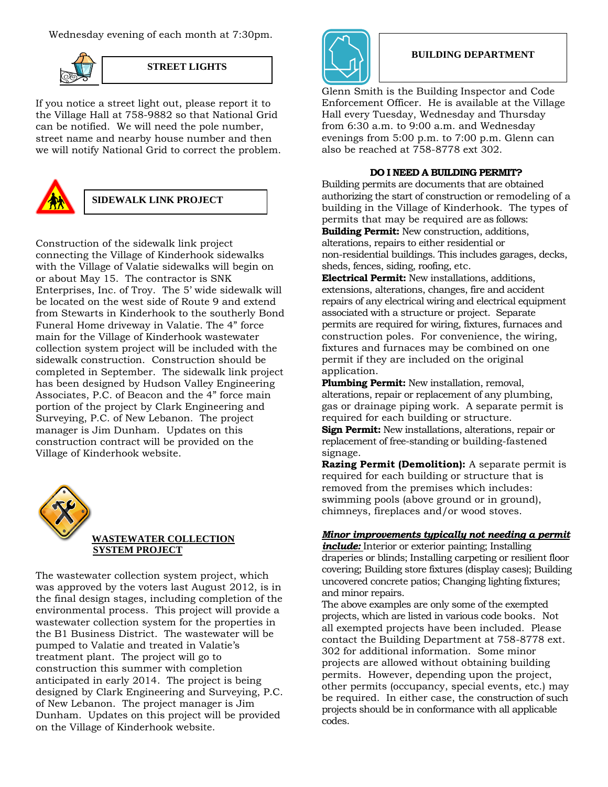Wednesday evening of each month at 7:30pm.



#### **STREET LIGHTS**

If you notice a street light out, please report it to the Village Hall at 758-9882 so that National Grid can be notified. We will need the pole number, street name and nearby house number and then we will notify National Grid to correct the problem.



## **SIDEWALK LINK PROJECT**

Construction of the sidewalk link project connecting the Village of Kinderhook sidewalks with the Village of Valatie sidewalks will begin on or about May 15. The contractor is SNK Enterprises, Inc. of Troy. The 5' wide sidewalk will be located on the west side of Route 9 and extend from Stewarts in Kinderhook to the southerly Bond Funeral Home driveway in Valatie. The 4" force main for the Village of Kinderhook wastewater collection system project will be included with the sidewalk construction. Construction should be completed in September. The sidewalk link project has been designed by Hudson Valley Engineering Associates, P.C. of Beacon and the 4" force main portion of the project by Clark Engineering and Surveying, P.C. of New Lebanon. The project manager is Jim Dunham. Updates on this construction contract will be provided on the Village of Kinderhook website.



The wastewater collection system project, which was approved by the voters last August 2012, is in the final design stages, including completion of the environmental process. This project will provide a wastewater collection system for the properties in the B1 Business District. The wastewater will be pumped to Valatie and treated in Valatie's treatment plant. The project will go to construction this summer with completion anticipated in early 2014. The project is being designed by Clark Engineering and Surveying, P.C. of New Lebanon. The project manager is Jim Dunham. Updates on this project will be provided on the Village of Kinderhook website.



#### **BUILDING DEPARTMENT**

Glenn Smith is the Building Inspector and Code Enforcement Officer. He is available at the Village Hall every Tuesday, Wednesday and Thursday from 6:30 a.m. to 9:00 a.m. and Wednesday evenings from 5:00 p.m. to 7:00 p.m. Glenn can also be reached at 758-8778 ext 302.

#### **DO I NEED A BUILDING PERMIT?**

Building permits are documents that are obtained authorizing the start of construction or remodeling of a building in the Village of Kinderhook. The types of permits that may be required are as follows: **Building Permit:** New construction, additions, alterations, repairs to either residential or non-residential buildings. This includes garages, decks, sheds, fences, siding, roofing, etc.

**Electrical Permit:** New installations, additions, extensions, alterations, changes, fire and accident repairs of any electrical wiring and electrical equipment associated with a structure or project. Separate permits are required for wiring, fixtures, furnaces and construction poles. For convenience, the wiring, fixtures and furnaces may be combined on one permit if they are included on the original application.

**Plumbing Permit:** New installation, removal, alterations, repair or replacement of any plumbing, gas or drainage piping work. A separate permit is required for each building or structure. **Sign Permit:** New installations, alterations, repair or replacement of free-standing or building-fastened signage.

**Razing Permit (Demolition):** A separate permit is required for each building or structure that is removed from the premises which includes: swimming pools (above ground or in ground), chimneys, fireplaces and/or wood stoves.

#### *Minor improvements typically not needing a permit*

*include:* Interior or exterior painting; Installing draperies or blinds; Installing carpeting or resilient floor covering; Building store fixtures (display cases); Building uncovered concrete patios; Changing lighting fixtures; and minor repairs.

The above examples are only some of the exempted projects, which are listed in various code books. Not all exempted projects have been included. Please contact the Building Department at 758-8778 ext. 302 for additional information. Some minor projects are allowed without obtaining building permits. However, depending upon the project, other permits (occupancy, special events, etc.) may be required. In either case, the construction of such projects should be in conformance with all applicable codes.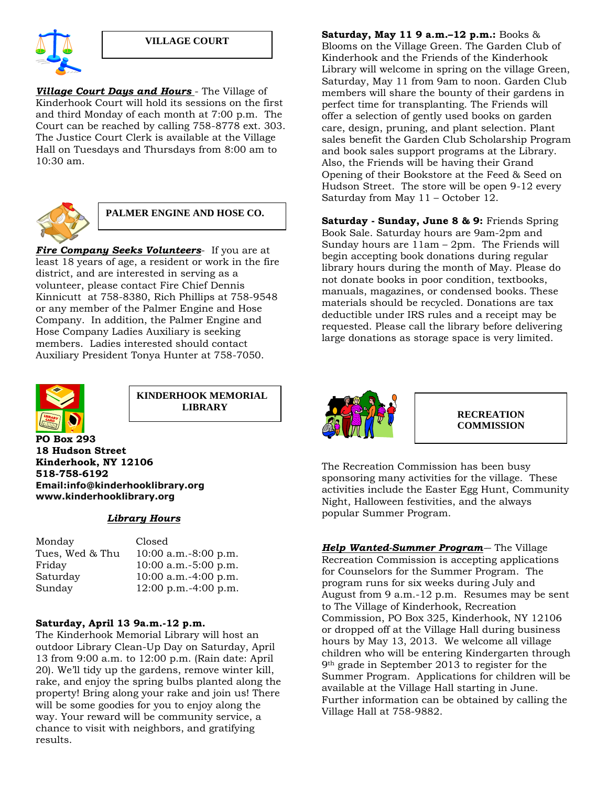

*Village Court Days and Hours* - The Village of Kinderhook Court will hold its sessions on the first and third Monday of each month at 7:00 p.m. The Court can be reached by calling 758-8778 ext. 303. The Justice Court Clerk is available at the Village Hall on Tuesdays and Thursdays from 8:00 am to 10:30 am.



## **PALMER ENGINE AND HOSE CO.**

*Fire Company Seeks Volunteers*- If you are at least 18 years of age, a resident or work in the fire district, and are interested in serving as a volunteer, please contact Fire Chief Dennis Kinnicutt at 758-8380, Rich Phillips at 758-9548 or any member of the Palmer Engine and Hose Company. In addition, the Palmer Engine and Hose Company Ladies Auxiliary is seeking members. Ladies interested should contact Auxiliary President Tonya Hunter at 758-7050.



**KINDERHOOK MEMORIAL LIBRARY**

**PO Box 293 18 Hudson Street Kinderhook, NY 12106 518-758-6192 Email:info@kinderhooklibrary.org www.kinderhooklibrary.org**

#### *Library Hours*

| Monday<br>Tues, Wed & Thu<br>Friday<br>Saturday | Closed<br>$10:00$ a.m. $-8:00$ p.m.<br>$10:00$ a.m. $-5:00$ p.m.<br>$10:00$ a.m. $-4:00$ p.m. |
|-------------------------------------------------|-----------------------------------------------------------------------------------------------|
| Sunday                                          | $12:00$ p.m.-4:00 p.m.                                                                        |
|                                                 |                                                                                               |

#### **Saturday, April 13 9a.m.-12 p.m.**

The Kinderhook Memorial Library will host an outdoor Library Clean-Up Day on Saturday, April 13 from 9:00 a.m. to 12:00 p.m. (Rain date: April 20). We'll tidy up the gardens, remove winter kill, rake, and enjoy the spring bulbs planted along the property! Bring along your rake and join us! There will be some goodies for you to enjoy along the way. Your reward will be community service, a chance to visit with neighbors, and gratifying results.

**Saturday, May 11 9 a.m.–12 p.m.:** Books & Blooms on the Village Green. The Garden Club of Kinderhook and the Friends of the Kinderhook Library will welcome in spring on the village Green, Saturday, May 11 from 9am to noon. Garden Club members will share the bounty of their gardens in perfect time for transplanting. The Friends will offer a selection of gently used books on garden care, design, pruning, and plant selection. Plant sales benefit the Garden Club Scholarship Program and book sales support programs at the Library. Also, the Friends will be having their Grand Opening of their Bookstore at the Feed & Seed on Hudson Street. The store will be open 9-12 every Saturday from May 11 – October 12.

**Saturday - Sunday, June 8 & 9:** Friends Spring Book Sale. Saturday hours are 9am-2pm and Sunday hours are 11am – 2pm. The Friends will begin accepting book donations during regular library hours during the month of May. Please do not donate books in poor condition, textbooks, manuals, magazines, or condensed books. These materials should be recycled. Donations are tax deductible under IRS rules and a receipt may be requested. Please call the library before delivering large donations as storage space is very limited.



**RECREATION COMMISSION**

The Recreation Commission has been busy sponsoring many activities for the village. These activities include the Easter Egg Hunt, Community Night, Halloween festivities, and the always popular Summer Program.

*Help Wanted-Summer Program-*– The Village Recreation Commission is accepting applications for Counselors for the Summer Program. The program runs for six weeks during July and August from 9 a.m.-12 p.m. Resumes may be sent to The Village of Kinderhook, Recreation Commission, PO Box 325, Kinderhook, NY 12106 or dropped off at the Village Hall during business hours by May 13, 2013. We welcome all village children who will be entering Kindergarten through 9th grade in September 2013 to register for the Summer Program. Applications for children will be available at the Village Hall starting in June. Further information can be obtained by calling the Village Hall at 758-9882.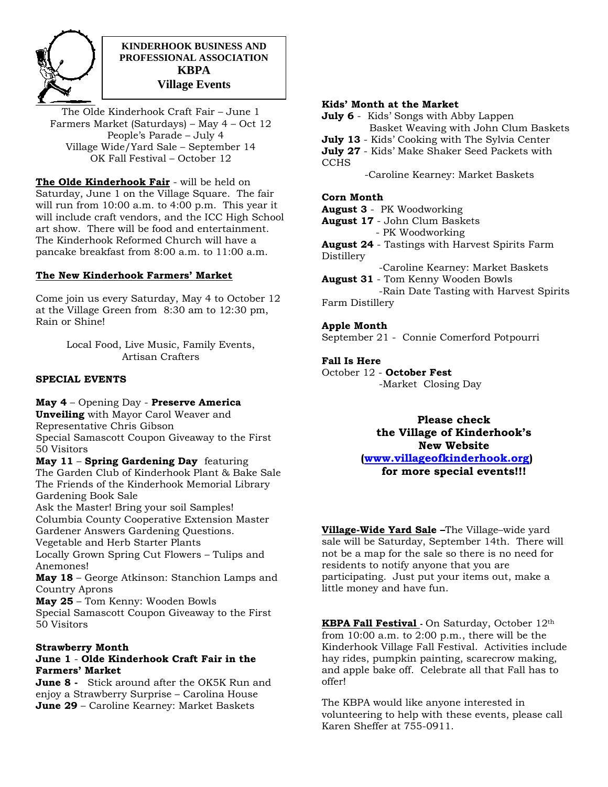

## **KINDERHOOK BUSINESS AND PROFESSIONAL ASSOCIATION KBPA Village Events**

The Olde Kinderhook Craft Fair – June 1 Farmers Market (Saturdays) – May 4 – Oct 12 People's Parade – July 4 Village Wide/Yard Sale – September 14 OK Fall Festival – October 12

**The Olde Kinderhook Fair** - will be held on Saturday, June 1 on the Village Square. The fair will run from 10:00 a.m. to 4:00 p.m. This year it will include craft vendors, and the ICC High School art show. There will be food and entertainment. The Kinderhook Reformed Church will have a pancake breakfast from 8:00 a.m. to 11:00 a.m.

#### **The New Kinderhook Farmers' Market**

Come join us every Saturday, May 4 to October 12 at the Village Green from 8:30 am to 12:30 pm, Rain or Shine!

> Local Food, Live Music, Family Events, Artisan Crafters

### **SPECIAL EVENTS**

**May 4** – Opening Day - **Preserve America**

**Unveiling** with Mayor Carol Weaver and Representative Chris Gibson Special Samascott Coupon Giveaway to the First 50 Visitors

**May 11** – **Spring Gardening Day** featuring The Garden Club of Kinderhook Plant & Bake Sale The Friends of the Kinderhook Memorial Library Gardening Book Sale

Ask the Master! Bring your soil Samples! Columbia County Cooperative Extension Master Gardener Answers Gardening Questions.

Vegetable and Herb Starter Plants

Locally Grown Spring Cut Flowers – Tulips and Anemones!

**May 18** – George Atkinson: Stanchion Lamps and Country Aprons

**May 25** – Tom Kenny: Wooden Bowls Special Samascott Coupon Giveaway to the First 50 Visitors

### **Strawberry Month**

### **June 1** - **Olde Kinderhook Craft Fair in the Farmers' Market**

**June 8 -** Stick around after the OK5K Run and enjoy a Strawberry Surprise – Carolina House **June 29** – Caroline Kearney: Market Baskets

### **Kids' Month at the Market**

**July 6** - Kids' Songs with Abby Lappen Basket Weaving with John Clum Baskets

- **July 13** Kids' Cooking with The Sylvia Center
- **July 27** Kids' Make Shaker Seed Packets with **CCHS**

-Caroline Kearney: Market Baskets

## **Corn Month**

**August 3** - PK Woodworking

- **August 17** John Clum Baskets
	- PK Woodworking
- **August 24** Tastings with Harvest Spirits Farm Distillery
- -Caroline Kearney: Market Baskets **August 31** - Tom Kenny Wooden Bowls

-Rain Date Tasting with Harvest Spirits Farm Distillery

### **Apple Month**

September 21 - Connie Comerford Potpourri

## **Fall Is Here**

October 12 - **October Fest** -Market Closing Day

> **Please check the Village of Kinderhook's New Website [\(www.villageofkinderhook.org\)](http://www.villageofkinderhook.org/) for more special events!!!**

**Village-Wide Yard Sale –**The Village–wide yard sale will be Saturday, September 14th. There will not be a map for the sale so there is no need for residents to notify anyone that you are participating. Just put your items out, make a little money and have fun.

**KBPA Fall Festival -** On Saturday, October 12th from 10:00 a.m. to 2:00 p.m., there will be the Kinderhook Village Fall Festival. Activities include hay rides, pumpkin painting, scarecrow making, and apple bake off. Celebrate all that Fall has to offer!

The KBPA would like anyone interested in volunteering to help with these events, please call Karen Sheffer at 755-0911.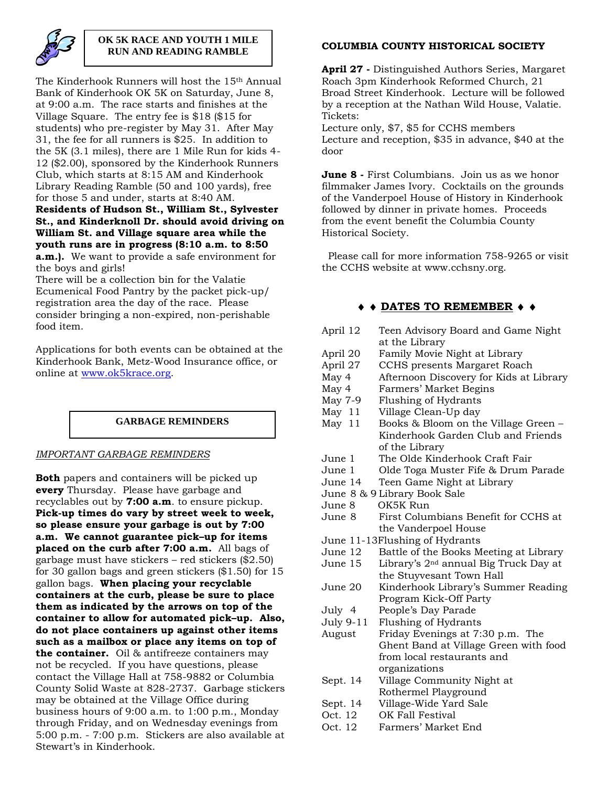

## **OK 5K RACE AND YOUTH 1 MILE RUN AND READING RAMBLE**

The Kinderhook Runners will host the 15th Annual Bank of Kinderhook OK 5K on Saturday, June 8, at 9:00 a.m. The race starts and finishes at the Village Square. The entry fee is \$18 (\$15 for students) who pre-register by May 31. After May 31, the fee for all runners is \$25. In addition to the 5K (3.1 miles), there are 1 Mile Run for kids 4- 12 (\$2.00), sponsored by the Kinderhook Runners Club, which starts at 8:15 AM and Kinderhook Library Reading Ramble (50 and 100 yards), free for those 5 and under, starts at 8:40 AM.

#### **Residents of Hudson St., William St., Sylvester St., and Kinderknoll Dr. should avoid driving on William St. and Village square area while the youth runs are in progress (8:10 a.m. to 8:50 a.m.).** We want to provide a safe environment for the boys and girls!

There will be a collection bin for the Valatie Ecumenical Food Pantry by the packet pick-up/ registration area the day of the race. Please consider bringing a non-expired, non-perishable food item.

Applications for both events can be obtained at the Kinderhook Bank, Metz-Wood Insurance office, or online at [www.ok5krace.org.](http://www.ok5krace.org/)

### **GARBAGE REMINDERS**

### *IMPORTANT GARBAGE REMINDERS*

**Both** papers and containers will be picked up **every** Thursday. Please have garbage and recyclables out by **7:00 a.m**. to ensure pickup. **Pick-up times do vary by street week to week, so please ensure your garbage is out by 7:00 a.m. We cannot guarantee pick–up for items placed on the curb after 7:00 a.m.** All bags of garbage must have stickers – red stickers (\$2.50) for 30 gallon bags and green stickers (\$1.50) for 15 gallon bags. **When placing your recyclable containers at the curb, please be sure to place them as indicated by the arrows on top of the container to allow for automated pick–up. Also, do not place containers up against other items such as a mailbox or place any items on top of the container.** Oil & antifreeze containers may not be recycled. If you have questions, please contact the Village Hall at 758-9882 or Columbia County Solid Waste at 828-2737. Garbage stickers may be obtained at the Village Office during business hours of 9:00 a.m. to 1:00 p.m., Monday through Friday, and on Wednesday evenings from 5:00 p.m. - 7:00 p.m. Stickers are also available at Stewart's in Kinderhook.

## **COLUMBIA COUNTY HISTORICAL SOCIETY**

**April 27 -** Distinguished Authors Series, Margaret Roach 3pm Kinderhook Reformed Church, 21 Broad Street Kinderhook. Lecture will be followed by a reception at the Nathan Wild House, Valatie. Tickets:

Lecture only, \$7, \$5 for CCHS members Lecture and reception, \$35 in advance, \$40 at the door

**June 8 -** First Columbians. Join us as we honor filmmaker James Ivory. Cocktails on the grounds of the Vanderpoel House of History in Kinderhook followed by dinner in private homes. Proceeds from the event benefit the Columbia County Historical Society.

 Please call for more information 758-9265 or visit the CCHS website at www.cchsny.org.

## **◆ ◆ DATES TO REMEMBER ◆ ◆**

| Teen Advisory Board and Game Night<br>at the Library |  |  |  |
|------------------------------------------------------|--|--|--|
| Family Movie Night at Library                        |  |  |  |
| CCHS presents Margaret Roach                         |  |  |  |
| Afternoon Discovery for Kids at Library              |  |  |  |
| Farmers' Market Begins                               |  |  |  |
| Flushing of Hydrants                                 |  |  |  |
| Village Clean-Up day                                 |  |  |  |
| Books & Bloom on the Village Green -                 |  |  |  |
| Kinderhook Garden Club and Friends                   |  |  |  |
| of the Library                                       |  |  |  |
| The Olde Kinderhook Craft Fair                       |  |  |  |
| Olde Toga Muster Fife & Drum Parade                  |  |  |  |
| Teen Game Night at Library                           |  |  |  |
| June 8 & 9 Library Book Sale                         |  |  |  |
| OK5K Run                                             |  |  |  |
| First Columbians Benefit for CCHS at                 |  |  |  |
| the Vanderpoel House                                 |  |  |  |
| June 11-13Flushing of Hydrants                       |  |  |  |
| Battle of the Books Meeting at Library               |  |  |  |
| Library's 2 <sup>nd</sup> annual Big Truck Day at    |  |  |  |
| the Stuyvesant Town Hall                             |  |  |  |
| Kinderhook Library's Summer Reading                  |  |  |  |
| Program Kick-Off Party                               |  |  |  |
| People's Day Parade                                  |  |  |  |
| Flushing of Hydrants                                 |  |  |  |
| Friday Evenings at 7:30 p.m. The                     |  |  |  |
| Ghent Band at Village Green with food                |  |  |  |
| from local restaurants and                           |  |  |  |
| organizations                                        |  |  |  |
| Village Community Night at                           |  |  |  |
| Rothermel Playground                                 |  |  |  |
| Village-Wide Yard Sale                               |  |  |  |
| OK Fall Festival                                     |  |  |  |
| Farmers' Market End                                  |  |  |  |
|                                                      |  |  |  |